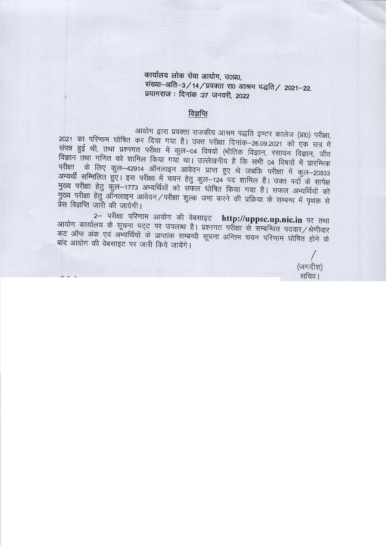कार्यालय लोक सेवा आयोग, उ०प्र०, संख्या-अति-3/14/प्रवक्ता रा0 आश्रम पद्धति/ 2021-22. प्रयागराज: दिनांक :27 जनवरी. 2022

# विज्ञप्ति

आयोग द्वारा प्रवक्ता राजकीय आश्रम पद्धति इण्टर कालेज (प्रा0) परीक्षा, 2021 का परिणाम घोषित कर दिया गया है। उक्त परीक्षा दिनांक–26.09.2021 को एक सत्र में संपन्न हुई थी, तथा प्रश्नगत परीक्षा में कुल-04 विषयों (भौतिक विज्ञान, रसायन विज्ञान, जीव विज्ञान तथा गणित को शामिल किया गया था। उल्लेखनीय है कि सभी 04 विषयों में प्रारम्भिक परीक्षा के लिए कुल-42914 ऑनलाइन आवेदन प्राप्त हुए थे जबकि परीक्षा में कुल-20833 अभ्यर्थी सम्मिलित हुए। इस परीक्षा में चयन हेतु कुल-124 पद शामिल हैं। उक्त पदों के सापेक्ष मुख्य परीक्षा हेतु कुल-1773 अभ्यर्थियों को सफल घोषित किया गया है। सफल अभ्यर्थियों को मुख्य परीक्षा हेतु ऑनलाइन आवेदन/परीक्षा शुल्क जमा करने की प्रक्रिया के सम्बन्ध में पृथक से प्रेस विज्ञप्ति जारी की जायेगी।

2- परीक्षा परिणाम आयोग की वेबसाइट http://uppsc.up.nic.in पर तथा आयोग कार्यालय के सूचना पट्ट पर उपलब्ध है। प्रश्नगत परीक्षा से सम्बन्धित पदवार/श्रेणीवार कट ऑफ अंक एवं अभ्यर्थियों के प्राप्तांक सम्बन्धी सूचना अन्तिम चयन परिणाम घोषित होने के बाँद आयोग की वेबसाइट पर जारी किये जायेंगे।

(जगदीश) सचिव।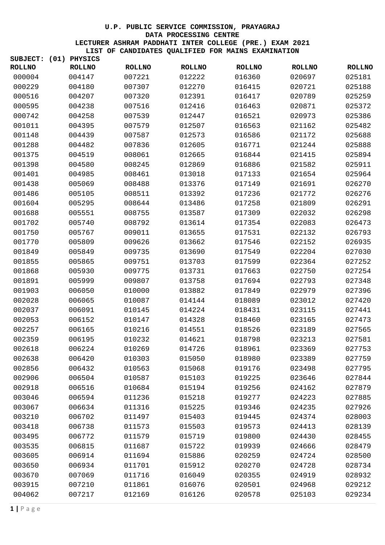| SUBJECT:      | (01) | <b>PHYSICS</b> |               |               |               |               |               |
|---------------|------|----------------|---------------|---------------|---------------|---------------|---------------|
| <b>ROLLNO</b> |      | <b>ROLLNO</b>  | <b>ROLLNO</b> | <b>ROLLNO</b> | <b>ROLLNO</b> | <b>ROLLNO</b> | <b>ROLLNO</b> |
| 000004        |      | 004147         | 007221        | 012222        | 016360        | 020697        | 025181        |
| 000229        |      | 004180         | 007307        | 012270        | 016415        | 020721        | 025188        |
| 000516        |      | 004207         | 007320        | 012391        | 016417        | 020789        | 025259        |
| 000595        |      | 004238         | 007516        | 012416        | 016463        | 020871        | 025372        |
| 000742        |      | 004258         | 007539        | 012447        | 016521        | 020973        | 025386        |
| 001011        |      | 004395         | 007579        | 012507        | 016563        | 021162        | 025482        |
| 001148        |      | 004439         | 007587        | 012573        | 016586        | 021172        | 025688        |
| 001288        |      | 004482         | 007836        | 012605        | 016771        | 021244        | 025888        |
| 001375        |      | 004519         | 008061        | 012665        | 016844        | 021415        | 025894        |
| 001398        |      | 004580         | 008245        | 012869        | 016886        | 021582        | 025911        |
| 001401        |      | 004985         | 008461        | 013018        | 017133        | 021654        | 025964        |
| 001438        |      | 005069         | 008488        | 013376        | 017149        | 021691        | 026270        |
| 001486        |      | 005105         | 008511        | 013392        | 017236        | 021772        | 026276        |
| 001604        |      | 005295         | 008644        | 013486        | 017258        | 021809        | 026291        |
| 001688        |      | 005551         | 008755        | 013587        | 017309        | 022032        | 026298        |
| 001702        |      | 005740         | 008792        | 013614        | 017354        | 022083        | 026473        |
| 001750        |      | 005767         | 009011        | 013655        | 017531        | 022132        | 026793        |
| 001770        |      | 005809         | 009626        | 013662        | 017546        | 022152        | 026935        |
| 001849        |      | 005849         | 009735        | 013690        | 017549        | 022204        | 027030        |
| 001855        |      | 005865         | 009751        | 013703        | 017599        | 022364        | 027252        |
| 001868        |      | 005930         | 009775        | 013731        | 017663        | 022750        | 027254        |
| 001891        |      | 005999         | 009807        | 013758        | 017694        | 022793        | 027348        |
| 001903        |      | 006050         | 010000        | 013882        | 017849        | 022979        | 027396        |
| 002028        |      | 006065         | 010087        | 014144        | 018089        | 023012        | 027420        |
| 002037        |      | 006091         | 010145        | 014224        | 018431        | 023115        | 027441        |
| 002053        |      | 006152         | 010147        | 014328        | 018460        | 023165        | 027473        |
| 002257        |      | 006165         | 010216        | 014551        | 018526        | 023189        | 027565        |
| 002359        |      | 006195         | 010232        | 014621        | 018798        | 023213        | 027581        |
| 002618        |      | 006224         | 010269        | 014726        | 018961        | 023369        | 027753        |
| 002638        |      | 006420         | 010303        | 015050        | 018980        | 023389        | 027759        |
| 002856        |      | 006432         | 010563        | 015068        | 019176        | 023498        | 027795        |
| 002906        |      | 006504         | 010587        | 015103        | 019225        | 023646        | 027844        |
| 002918        |      | 006516         | 010684        | 015194        | 019256        | 024162        | 027879        |
| 003046        |      | 006594         | 011236        | 015218        | 019277        | 024223        | 027885        |
| 003067        |      | 006634         | 011316        | 015225        | 019346        | 024235        | 027926        |
| 003210        |      | 006702         | 011497        | 015403        | 019445        | 024374        | 028003        |
| 003418        |      | 006738         | 011573        | 015503        | 019573        | 024413        | 028139        |
| 003495        |      | 006772         | 011579        | 015719        | 019800        | 024430        | 028455        |
| 003535        |      | 006815         | 011687        | 015722        | 019939        | 024666        | 028479        |
| 003605        |      | 006914         | 011694        | 015886        | 020259        | 024724        | 028500        |
| 003650        |      | 006934         | 011701        | 015912        | 020270        | 024728        | 028734        |
| 003670        |      | 007069         | 011716        | 016049        | 020355        | 024919        | 028932        |
| 003915        |      | 007210         | 011861        | 016076        | 020501        | 024968        | 029212        |
| 004062        |      | 007217         | 012169        | 016126        | 020578        | 025103        | 029234        |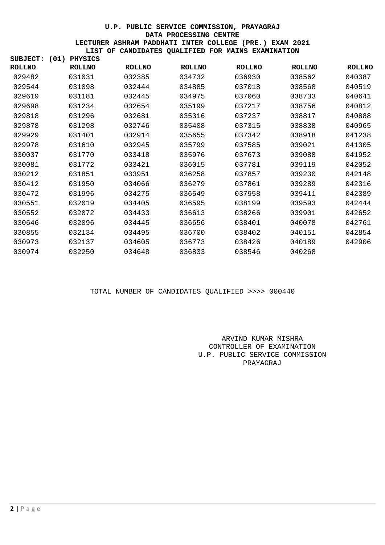| SUBJECT:      | (01) | <b>PHYSICS</b> |               |               |               |               |               |
|---------------|------|----------------|---------------|---------------|---------------|---------------|---------------|
| <b>ROLLNO</b> |      | <b>ROLLNO</b>  | <b>ROLLNO</b> | <b>ROLLNO</b> | <b>ROLLNO</b> | <b>ROLLNO</b> | <b>ROLLNO</b> |
| 029482        |      | 031031         | 032385        | 034732        | 036930        | 038562        | 040387        |
| 029544        |      | 031098         | 032444        | 034885        | 037018        | 038568        | 040519        |
| 029619        |      | 031181         | 032445        | 034975        | 037060        | 038733        | 040641        |
| 029698        |      | 031234         | 032654        | 035199        | 037217        | 038756        | 040812        |
| 029818        |      | 031296         | 032681        | 035316        | 037237        | 038817        | 040888        |
| 029878        |      | 031298         | 032746        | 035408        | 037315        | 038838        | 040965        |
| 029929        |      | 031401         | 032914        | 035655        | 037342        | 038918        | 041238        |
| 029978        |      | 031610         | 032945        | 035799        | 037585        | 039021        | 041305        |
| 030037        |      | 031770         | 033418        | 035976        | 037673        | 039088        | 041952        |
| 030081        |      | 031772         | 033421        | 036015        | 037781        | 039119        | 042052        |
| 030212        |      | 031851         | 033951        | 036258        | 037857        | 039230        | 042148        |
| 030412        |      | 031950         | 034066        | 036279        | 037861        | 039289        | 042316        |
| 030472        |      | 031996         | 034275        | 036549        | 037958        | 039411        | 042389        |
| 030551        |      | 032019         | 034405        | 036595        | 038199        | 039593        | 042444        |
| 030552        |      | 032072         | 034433        | 036613        | 038266        | 039901        | 042652        |
| 030646        |      | 032096         | 034445        | 036656        | 038401        | 040078        | 042761        |
| 030855        |      | 032134         | 034495        | 036700        | 038402        | 040151        | 042854        |
| 030973        |      | 032137         | 034605        | 036773        | 038426        | 040189        | 042906        |
| 030974        |      | 032250         | 034648        | 036833        | 038546        | 040268        |               |

#### TOTAL NUMBER OF CANDIDATES QUALIFIED >>>> 000440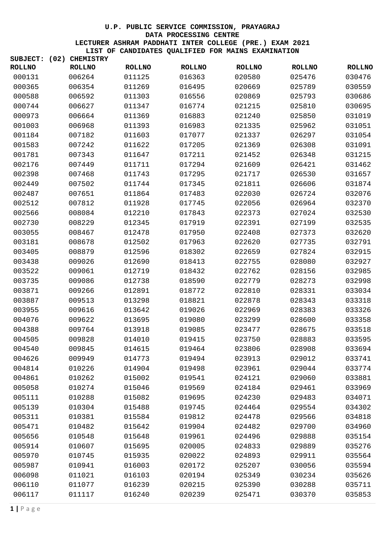| SUBJECT:      | (02) | <b>CHEMISTRY</b> |               |               |               |               |               |
|---------------|------|------------------|---------------|---------------|---------------|---------------|---------------|
| <b>ROLLNO</b> |      | <b>ROLLNO</b>    | <b>ROLLNO</b> | <b>ROLLNO</b> | <b>ROLLNO</b> | <b>ROLLNO</b> | <b>ROLLNO</b> |
| 000131        |      | 006264           | 011125        | 016363        | 020580        | 025476        | 030476        |
| 000365        |      | 006354           | 011269        | 016495        | 020669        | 025789        | 030559        |
| 000588        |      | 006592           | 011303        | 016556        | 020869        | 025793        | 030686        |
| 000744        |      | 006627           | 011347        | 016774        | 021215        | 025810        | 030695        |
| 000973        |      | 006664           | 011369        | 016883        | 021240        | 025850        | 031019        |
| 001003        |      | 006968           | 011393        | 016983        | 021335        | 025962        | 031051        |
| 001184        |      | 007182           | 011603        | 017077        | 021337        | 026297        | 031054        |
| 001583        |      | 007242           | 011622        | 017205        | 021369        | 026308        | 031091        |
| 001781        |      | 007343           | 011647        | 017211        | 021452        | 026348        | 031215        |
| 002176        |      | 007449           | 011711        | 017294        | 021609        | 026421        | 031462        |
| 002398        |      | 007468           | 011743        | 017295        | 021717        | 026530        | 031657        |
| 002449        |      | 007502           | 011744        | 017345        | 021811        | 026606        | 031874        |
| 002487        |      | 007651           | 011864        | 017483        | 022030        | 026724        | 032076        |
| 002512        |      | 007812           | 011928        | 017745        | 022056        | 026964        | 032370        |
| 002566        |      | 008084           | 012210        | 017843        | 022373        | 027024        | 032530        |
| 002730        |      | 008229           | 012345        | 017919        | 022391        | 027199        | 032535        |
| 003055        |      | 008467           | 012478        | 017950        | 022408        | 027373        | 032620        |
| 003181        |      | 008678           | 012502        | 017963        | 022620        | 027735        | 032791        |
| 003405        |      | 008879           | 012596        | 018302        | 022659        | 027824        | 032915        |
| 003438        |      | 009026           | 012690        | 018413        | 022755        | 028080        | 032927        |
| 003522        |      | 009061           | 012719        | 018432        | 022762        | 028156        | 032985        |
| 003735        |      | 009086           | 012738        | 018590        | 022779        | 028273        | 032998        |
| 003871        |      | 009266           | 012891        | 018772        | 022810        | 028331        | 033034        |
| 003887        |      | 009513           | 013298        | 018821        | 022878        | 028343        | 033318        |
| 003955        |      | 009616           | 013642        | 019026        | 022969        | 028383        | 033326        |
| 004076        |      | 009622           | 013695        | 019080        | 023299        | 028600        | 033358        |
| 004388        |      | 009764           | 013918        | 019085        | 023477        | 028675        | 033518        |
| 004505        |      | 009828           | 014010        | 019415        | 023750        | 028883        | 033595        |
| 004540        |      | 009845           | 014615        | 019464        | 023806        | 028908        | 033694        |
| 004626        |      | 009949           | 014773        | 019494        | 023913        | 029012        | 033741        |
| 004814        |      | 010226           | 014904        | 019498        | 023961        | 029044        | 033774        |
| 004861        |      | 010262           | 015002        | 019541        | 024121        | 029060        | 033881        |
| 005058        |      | 010274           | 015046        | 019569        | 024184        | 029461        | 033969        |
| 005111        |      | 010288           | 015082        | 019695        | 024230        | 029483        | 034071        |
| 005139        |      | 010304           | 015488        | 019745        | 024464        | 029554        | 034302        |
| 005311        |      | 010381           | 015584        | 019812        | 024478        | 029566        | 034818        |
| 005471        |      | 010482           | 015642        | 019904        | 024482        | 029700        | 034960        |
| 005656        |      | 010548           | 015648        | 019961        | 024496        | 029888        | 035154        |
| 005914        |      | 010607           | 015695        | 020005        | 024833        | 029889        | 035276        |
|               |      |                  |               |               |               |               |               |
| 005970        |      | 010745           | 015935        | 020022        | 024893        | 029911        | 035564        |
| 005987        |      | 010941           | 016003        | 020172        | 025207        | 030056        | 035594        |
| 006098        |      | 011021           | 016103        | 020194        | 025349        | 030234        | 035626        |
| 006110        |      | 011077           | 016239        | 020215        | 025390        | 030288        | 035711        |
| 006117        |      | 011117           | 016240        | 020239        | 025471        | 030370        | 035853        |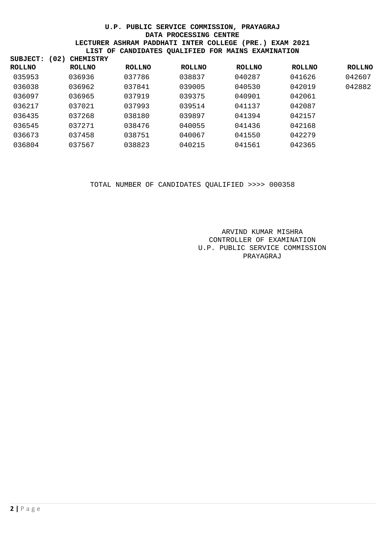| SUBJECT:      | (02) | <b>CHEMISTRY</b> |               |               |               |               |               |
|---------------|------|------------------|---------------|---------------|---------------|---------------|---------------|
| <b>ROLLNO</b> |      | <b>ROLLNO</b>    | <b>ROLLNO</b> | <b>ROLLNO</b> | <b>ROLLNO</b> | <b>ROLLNO</b> | <b>ROLLNO</b> |
| 035953        |      | 036936           | 037786        | 038837        | 040287        | 041626        | 042607        |
| 036038        |      | 036962           | 037841        | 039005        | 040530        | 042019        | 042882        |
| 036097        |      | 036965           | 037919        | 039375        | 040901        | 042061        |               |
| 036217        |      | 037021           | 037993        | 039514        | 041137        | 042087        |               |
| 036435        |      | 037268           | 038180        | 039897        | 041394        | 042157        |               |
| 036545        |      | 037271           | 038476        | 040055        | 041436        | 042168        |               |
| 036673        |      | 037458           | 038751        | 040067        | 041550        | 042279        |               |
| 036804        |      | 037567           | 038823        | 040215        | 041561        | 042365        |               |

TOTAL NUMBER OF CANDIDATES QUALIFIED >>>> 000358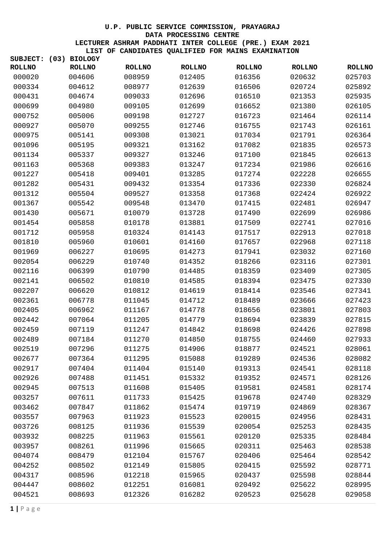| <b>ROLLNO</b><br><b>ROLLNO</b><br><b>ROLLNO</b><br><b>ROLLNO</b><br><b>ROLLNO</b><br><b>ROLLNO</b><br><b>ROLLNO</b><br>016356<br>000020<br>004606<br>008959<br>012405<br>020632<br>025703<br>000334<br>004612<br>008977<br>012639<br>016506<br>020724<br>025892<br>000431<br>004674<br>009033<br>012696<br>016510<br>021353<br>025935<br>000699<br>004980<br>009105<br>012699<br>016652<br>021380<br>026105<br>000752<br>005006<br>009198<br>012727<br>016723<br>021464<br>026114<br>000927<br>005070<br>009255<br>016755<br>021743<br>026161<br>012746<br>000975<br>005141<br>009308<br>013021<br>017034<br>021791<br>026364<br>001096<br>005195<br>009321<br>013162<br>017082<br>026573<br>021835<br>001134<br>005337<br>009327<br>013246<br>017100<br>021845<br>026613<br>005368<br>009383<br>013247<br>017234<br>021986<br>026616<br>001163<br>001227<br>005418<br>009401<br>013285<br>017274<br>022228<br>026655<br>005431<br>009432<br>017336<br>022330<br>026824<br>001282<br>013354<br>001312<br>005504<br>009527<br>013358<br>017368<br>022424<br>026922<br>001367<br>005542<br>009548<br>013470<br>017415<br>022481<br>026947<br>001430<br>005671<br>010079<br>013728<br>017490<br>022699<br>026986<br>005858<br>010178<br>013881<br>017509<br>027016<br>001454<br>022741<br>001712<br>005958<br>010324<br>014143<br>017517<br>022913<br>027018<br>001810<br>005960<br>010601<br>014160<br>022968<br>027118<br>017657<br>001969<br>006227<br>010695<br>014273<br>017941<br>023032<br>027160<br>002054<br>006229<br>010740<br>014352<br>018266<br>023116<br>027301<br>002116<br>006399<br>010790<br>018359<br>023409<br>027305<br>014485<br>002141<br>006502<br>010810<br>018394<br>027330<br>014585<br>023475<br>027341<br>002207<br>006620<br>010812<br>014619<br>018414<br>023546<br>002361<br>006778<br>011045<br>014712<br>018489<br>023666<br>027423<br>027803<br>002405<br>006962<br>011167<br>014778<br>018656<br>023801<br>002442<br>007064<br>011205<br>014779<br>018694<br>023839<br>027815<br>002459<br>007119<br>011247<br>014842<br>018698<br>024426<br>027898<br>002489<br>007184<br>011270<br>014850<br>018755<br>024460<br>027933<br>002519<br>007296<br>011275<br>018877<br>024521<br>028061<br>014906<br>002677<br>007364<br>028082<br>011295<br>015088<br>019289<br>024536<br>002917<br>007404<br>011404<br>015140<br>019313<br>024541<br>028118<br>002926<br>028126<br>007488<br>011451<br>015332<br>019352<br>024571<br>002945<br>028174<br>007513<br>011608<br>015405<br>019581<br>024581<br>003257<br>007611<br>011733<br>015425<br>019678<br>024740<br>028329<br>028367<br>003462<br>007847<br>011862<br>015474<br>019719<br>024869<br>003557<br>007963<br>011923<br>015523<br>020015<br>024956<br>028431<br>003726<br>008125<br>011936<br>015539<br>020054<br>025253<br>028435<br>003932<br>008225<br>011963<br>015561<br>020120<br>025335<br>028484<br>003957<br>008261<br>011996<br>015665<br>020311<br>025463<br>028538<br>004074<br>008479<br>012104<br>015767<br>020406<br>025464<br>028542<br>008502<br>004252<br>012149<br>015805<br>020415<br>025592<br>028771<br>004317<br>008596<br>012218<br>015965<br>020437<br>025598<br>028844<br>008602<br>012251<br>025622<br>004447<br>016081<br>020492<br>028995<br>025628<br>004521<br>008693<br>012326<br>016282<br>020523<br>029058 | SUBJECT: | (03) BIOLOGY |  |  |  |
|-----------------------------------------------------------------------------------------------------------------------------------------------------------------------------------------------------------------------------------------------------------------------------------------------------------------------------------------------------------------------------------------------------------------------------------------------------------------------------------------------------------------------------------------------------------------------------------------------------------------------------------------------------------------------------------------------------------------------------------------------------------------------------------------------------------------------------------------------------------------------------------------------------------------------------------------------------------------------------------------------------------------------------------------------------------------------------------------------------------------------------------------------------------------------------------------------------------------------------------------------------------------------------------------------------------------------------------------------------------------------------------------------------------------------------------------------------------------------------------------------------------------------------------------------------------------------------------------------------------------------------------------------------------------------------------------------------------------------------------------------------------------------------------------------------------------------------------------------------------------------------------------------------------------------------------------------------------------------------------------------------------------------------------------------------------------------------------------------------------------------------------------------------------------------------------------------------------------------------------------------------------------------------------------------------------------------------------------------------------------------------------------------------------------------------------------------------------------------------------------------------------------------------------------------------------------------------------------------------------------------------------------------------------------------------------------------------------------------------------------------------------------------------------------------------------------------------------------------------------------------------------------------------------------------------------------------------------------------------------------------------------------------------------------------------------------------------------------------------------------------------------------------------------------------------------------------------------------------------------------------------------------------------------------------------------------------------|----------|--------------|--|--|--|
|                                                                                                                                                                                                                                                                                                                                                                                                                                                                                                                                                                                                                                                                                                                                                                                                                                                                                                                                                                                                                                                                                                                                                                                                                                                                                                                                                                                                                                                                                                                                                                                                                                                                                                                                                                                                                                                                                                                                                                                                                                                                                                                                                                                                                                                                                                                                                                                                                                                                                                                                                                                                                                                                                                                                                                                                                                                                                                                                                                                                                                                                                                                                                                                                                                                                                                                             |          |              |  |  |  |
|                                                                                                                                                                                                                                                                                                                                                                                                                                                                                                                                                                                                                                                                                                                                                                                                                                                                                                                                                                                                                                                                                                                                                                                                                                                                                                                                                                                                                                                                                                                                                                                                                                                                                                                                                                                                                                                                                                                                                                                                                                                                                                                                                                                                                                                                                                                                                                                                                                                                                                                                                                                                                                                                                                                                                                                                                                                                                                                                                                                                                                                                                                                                                                                                                                                                                                                             |          |              |  |  |  |
|                                                                                                                                                                                                                                                                                                                                                                                                                                                                                                                                                                                                                                                                                                                                                                                                                                                                                                                                                                                                                                                                                                                                                                                                                                                                                                                                                                                                                                                                                                                                                                                                                                                                                                                                                                                                                                                                                                                                                                                                                                                                                                                                                                                                                                                                                                                                                                                                                                                                                                                                                                                                                                                                                                                                                                                                                                                                                                                                                                                                                                                                                                                                                                                                                                                                                                                             |          |              |  |  |  |
|                                                                                                                                                                                                                                                                                                                                                                                                                                                                                                                                                                                                                                                                                                                                                                                                                                                                                                                                                                                                                                                                                                                                                                                                                                                                                                                                                                                                                                                                                                                                                                                                                                                                                                                                                                                                                                                                                                                                                                                                                                                                                                                                                                                                                                                                                                                                                                                                                                                                                                                                                                                                                                                                                                                                                                                                                                                                                                                                                                                                                                                                                                                                                                                                                                                                                                                             |          |              |  |  |  |
|                                                                                                                                                                                                                                                                                                                                                                                                                                                                                                                                                                                                                                                                                                                                                                                                                                                                                                                                                                                                                                                                                                                                                                                                                                                                                                                                                                                                                                                                                                                                                                                                                                                                                                                                                                                                                                                                                                                                                                                                                                                                                                                                                                                                                                                                                                                                                                                                                                                                                                                                                                                                                                                                                                                                                                                                                                                                                                                                                                                                                                                                                                                                                                                                                                                                                                                             |          |              |  |  |  |
|                                                                                                                                                                                                                                                                                                                                                                                                                                                                                                                                                                                                                                                                                                                                                                                                                                                                                                                                                                                                                                                                                                                                                                                                                                                                                                                                                                                                                                                                                                                                                                                                                                                                                                                                                                                                                                                                                                                                                                                                                                                                                                                                                                                                                                                                                                                                                                                                                                                                                                                                                                                                                                                                                                                                                                                                                                                                                                                                                                                                                                                                                                                                                                                                                                                                                                                             |          |              |  |  |  |
|                                                                                                                                                                                                                                                                                                                                                                                                                                                                                                                                                                                                                                                                                                                                                                                                                                                                                                                                                                                                                                                                                                                                                                                                                                                                                                                                                                                                                                                                                                                                                                                                                                                                                                                                                                                                                                                                                                                                                                                                                                                                                                                                                                                                                                                                                                                                                                                                                                                                                                                                                                                                                                                                                                                                                                                                                                                                                                                                                                                                                                                                                                                                                                                                                                                                                                                             |          |              |  |  |  |
|                                                                                                                                                                                                                                                                                                                                                                                                                                                                                                                                                                                                                                                                                                                                                                                                                                                                                                                                                                                                                                                                                                                                                                                                                                                                                                                                                                                                                                                                                                                                                                                                                                                                                                                                                                                                                                                                                                                                                                                                                                                                                                                                                                                                                                                                                                                                                                                                                                                                                                                                                                                                                                                                                                                                                                                                                                                                                                                                                                                                                                                                                                                                                                                                                                                                                                                             |          |              |  |  |  |
|                                                                                                                                                                                                                                                                                                                                                                                                                                                                                                                                                                                                                                                                                                                                                                                                                                                                                                                                                                                                                                                                                                                                                                                                                                                                                                                                                                                                                                                                                                                                                                                                                                                                                                                                                                                                                                                                                                                                                                                                                                                                                                                                                                                                                                                                                                                                                                                                                                                                                                                                                                                                                                                                                                                                                                                                                                                                                                                                                                                                                                                                                                                                                                                                                                                                                                                             |          |              |  |  |  |
|                                                                                                                                                                                                                                                                                                                                                                                                                                                                                                                                                                                                                                                                                                                                                                                                                                                                                                                                                                                                                                                                                                                                                                                                                                                                                                                                                                                                                                                                                                                                                                                                                                                                                                                                                                                                                                                                                                                                                                                                                                                                                                                                                                                                                                                                                                                                                                                                                                                                                                                                                                                                                                                                                                                                                                                                                                                                                                                                                                                                                                                                                                                                                                                                                                                                                                                             |          |              |  |  |  |
|                                                                                                                                                                                                                                                                                                                                                                                                                                                                                                                                                                                                                                                                                                                                                                                                                                                                                                                                                                                                                                                                                                                                                                                                                                                                                                                                                                                                                                                                                                                                                                                                                                                                                                                                                                                                                                                                                                                                                                                                                                                                                                                                                                                                                                                                                                                                                                                                                                                                                                                                                                                                                                                                                                                                                                                                                                                                                                                                                                                                                                                                                                                                                                                                                                                                                                                             |          |              |  |  |  |
|                                                                                                                                                                                                                                                                                                                                                                                                                                                                                                                                                                                                                                                                                                                                                                                                                                                                                                                                                                                                                                                                                                                                                                                                                                                                                                                                                                                                                                                                                                                                                                                                                                                                                                                                                                                                                                                                                                                                                                                                                                                                                                                                                                                                                                                                                                                                                                                                                                                                                                                                                                                                                                                                                                                                                                                                                                                                                                                                                                                                                                                                                                                                                                                                                                                                                                                             |          |              |  |  |  |
|                                                                                                                                                                                                                                                                                                                                                                                                                                                                                                                                                                                                                                                                                                                                                                                                                                                                                                                                                                                                                                                                                                                                                                                                                                                                                                                                                                                                                                                                                                                                                                                                                                                                                                                                                                                                                                                                                                                                                                                                                                                                                                                                                                                                                                                                                                                                                                                                                                                                                                                                                                                                                                                                                                                                                                                                                                                                                                                                                                                                                                                                                                                                                                                                                                                                                                                             |          |              |  |  |  |
|                                                                                                                                                                                                                                                                                                                                                                                                                                                                                                                                                                                                                                                                                                                                                                                                                                                                                                                                                                                                                                                                                                                                                                                                                                                                                                                                                                                                                                                                                                                                                                                                                                                                                                                                                                                                                                                                                                                                                                                                                                                                                                                                                                                                                                                                                                                                                                                                                                                                                                                                                                                                                                                                                                                                                                                                                                                                                                                                                                                                                                                                                                                                                                                                                                                                                                                             |          |              |  |  |  |
|                                                                                                                                                                                                                                                                                                                                                                                                                                                                                                                                                                                                                                                                                                                                                                                                                                                                                                                                                                                                                                                                                                                                                                                                                                                                                                                                                                                                                                                                                                                                                                                                                                                                                                                                                                                                                                                                                                                                                                                                                                                                                                                                                                                                                                                                                                                                                                                                                                                                                                                                                                                                                                                                                                                                                                                                                                                                                                                                                                                                                                                                                                                                                                                                                                                                                                                             |          |              |  |  |  |
|                                                                                                                                                                                                                                                                                                                                                                                                                                                                                                                                                                                                                                                                                                                                                                                                                                                                                                                                                                                                                                                                                                                                                                                                                                                                                                                                                                                                                                                                                                                                                                                                                                                                                                                                                                                                                                                                                                                                                                                                                                                                                                                                                                                                                                                                                                                                                                                                                                                                                                                                                                                                                                                                                                                                                                                                                                                                                                                                                                                                                                                                                                                                                                                                                                                                                                                             |          |              |  |  |  |
|                                                                                                                                                                                                                                                                                                                                                                                                                                                                                                                                                                                                                                                                                                                                                                                                                                                                                                                                                                                                                                                                                                                                                                                                                                                                                                                                                                                                                                                                                                                                                                                                                                                                                                                                                                                                                                                                                                                                                                                                                                                                                                                                                                                                                                                                                                                                                                                                                                                                                                                                                                                                                                                                                                                                                                                                                                                                                                                                                                                                                                                                                                                                                                                                                                                                                                                             |          |              |  |  |  |
|                                                                                                                                                                                                                                                                                                                                                                                                                                                                                                                                                                                                                                                                                                                                                                                                                                                                                                                                                                                                                                                                                                                                                                                                                                                                                                                                                                                                                                                                                                                                                                                                                                                                                                                                                                                                                                                                                                                                                                                                                                                                                                                                                                                                                                                                                                                                                                                                                                                                                                                                                                                                                                                                                                                                                                                                                                                                                                                                                                                                                                                                                                                                                                                                                                                                                                                             |          |              |  |  |  |
|                                                                                                                                                                                                                                                                                                                                                                                                                                                                                                                                                                                                                                                                                                                                                                                                                                                                                                                                                                                                                                                                                                                                                                                                                                                                                                                                                                                                                                                                                                                                                                                                                                                                                                                                                                                                                                                                                                                                                                                                                                                                                                                                                                                                                                                                                                                                                                                                                                                                                                                                                                                                                                                                                                                                                                                                                                                                                                                                                                                                                                                                                                                                                                                                                                                                                                                             |          |              |  |  |  |
|                                                                                                                                                                                                                                                                                                                                                                                                                                                                                                                                                                                                                                                                                                                                                                                                                                                                                                                                                                                                                                                                                                                                                                                                                                                                                                                                                                                                                                                                                                                                                                                                                                                                                                                                                                                                                                                                                                                                                                                                                                                                                                                                                                                                                                                                                                                                                                                                                                                                                                                                                                                                                                                                                                                                                                                                                                                                                                                                                                                                                                                                                                                                                                                                                                                                                                                             |          |              |  |  |  |
|                                                                                                                                                                                                                                                                                                                                                                                                                                                                                                                                                                                                                                                                                                                                                                                                                                                                                                                                                                                                                                                                                                                                                                                                                                                                                                                                                                                                                                                                                                                                                                                                                                                                                                                                                                                                                                                                                                                                                                                                                                                                                                                                                                                                                                                                                                                                                                                                                                                                                                                                                                                                                                                                                                                                                                                                                                                                                                                                                                                                                                                                                                                                                                                                                                                                                                                             |          |              |  |  |  |
|                                                                                                                                                                                                                                                                                                                                                                                                                                                                                                                                                                                                                                                                                                                                                                                                                                                                                                                                                                                                                                                                                                                                                                                                                                                                                                                                                                                                                                                                                                                                                                                                                                                                                                                                                                                                                                                                                                                                                                                                                                                                                                                                                                                                                                                                                                                                                                                                                                                                                                                                                                                                                                                                                                                                                                                                                                                                                                                                                                                                                                                                                                                                                                                                                                                                                                                             |          |              |  |  |  |
|                                                                                                                                                                                                                                                                                                                                                                                                                                                                                                                                                                                                                                                                                                                                                                                                                                                                                                                                                                                                                                                                                                                                                                                                                                                                                                                                                                                                                                                                                                                                                                                                                                                                                                                                                                                                                                                                                                                                                                                                                                                                                                                                                                                                                                                                                                                                                                                                                                                                                                                                                                                                                                                                                                                                                                                                                                                                                                                                                                                                                                                                                                                                                                                                                                                                                                                             |          |              |  |  |  |
|                                                                                                                                                                                                                                                                                                                                                                                                                                                                                                                                                                                                                                                                                                                                                                                                                                                                                                                                                                                                                                                                                                                                                                                                                                                                                                                                                                                                                                                                                                                                                                                                                                                                                                                                                                                                                                                                                                                                                                                                                                                                                                                                                                                                                                                                                                                                                                                                                                                                                                                                                                                                                                                                                                                                                                                                                                                                                                                                                                                                                                                                                                                                                                                                                                                                                                                             |          |              |  |  |  |
|                                                                                                                                                                                                                                                                                                                                                                                                                                                                                                                                                                                                                                                                                                                                                                                                                                                                                                                                                                                                                                                                                                                                                                                                                                                                                                                                                                                                                                                                                                                                                                                                                                                                                                                                                                                                                                                                                                                                                                                                                                                                                                                                                                                                                                                                                                                                                                                                                                                                                                                                                                                                                                                                                                                                                                                                                                                                                                                                                                                                                                                                                                                                                                                                                                                                                                                             |          |              |  |  |  |
|                                                                                                                                                                                                                                                                                                                                                                                                                                                                                                                                                                                                                                                                                                                                                                                                                                                                                                                                                                                                                                                                                                                                                                                                                                                                                                                                                                                                                                                                                                                                                                                                                                                                                                                                                                                                                                                                                                                                                                                                                                                                                                                                                                                                                                                                                                                                                                                                                                                                                                                                                                                                                                                                                                                                                                                                                                                                                                                                                                                                                                                                                                                                                                                                                                                                                                                             |          |              |  |  |  |
|                                                                                                                                                                                                                                                                                                                                                                                                                                                                                                                                                                                                                                                                                                                                                                                                                                                                                                                                                                                                                                                                                                                                                                                                                                                                                                                                                                                                                                                                                                                                                                                                                                                                                                                                                                                                                                                                                                                                                                                                                                                                                                                                                                                                                                                                                                                                                                                                                                                                                                                                                                                                                                                                                                                                                                                                                                                                                                                                                                                                                                                                                                                                                                                                                                                                                                                             |          |              |  |  |  |
|                                                                                                                                                                                                                                                                                                                                                                                                                                                                                                                                                                                                                                                                                                                                                                                                                                                                                                                                                                                                                                                                                                                                                                                                                                                                                                                                                                                                                                                                                                                                                                                                                                                                                                                                                                                                                                                                                                                                                                                                                                                                                                                                                                                                                                                                                                                                                                                                                                                                                                                                                                                                                                                                                                                                                                                                                                                                                                                                                                                                                                                                                                                                                                                                                                                                                                                             |          |              |  |  |  |
|                                                                                                                                                                                                                                                                                                                                                                                                                                                                                                                                                                                                                                                                                                                                                                                                                                                                                                                                                                                                                                                                                                                                                                                                                                                                                                                                                                                                                                                                                                                                                                                                                                                                                                                                                                                                                                                                                                                                                                                                                                                                                                                                                                                                                                                                                                                                                                                                                                                                                                                                                                                                                                                                                                                                                                                                                                                                                                                                                                                                                                                                                                                                                                                                                                                                                                                             |          |              |  |  |  |
|                                                                                                                                                                                                                                                                                                                                                                                                                                                                                                                                                                                                                                                                                                                                                                                                                                                                                                                                                                                                                                                                                                                                                                                                                                                                                                                                                                                                                                                                                                                                                                                                                                                                                                                                                                                                                                                                                                                                                                                                                                                                                                                                                                                                                                                                                                                                                                                                                                                                                                                                                                                                                                                                                                                                                                                                                                                                                                                                                                                                                                                                                                                                                                                                                                                                                                                             |          |              |  |  |  |
|                                                                                                                                                                                                                                                                                                                                                                                                                                                                                                                                                                                                                                                                                                                                                                                                                                                                                                                                                                                                                                                                                                                                                                                                                                                                                                                                                                                                                                                                                                                                                                                                                                                                                                                                                                                                                                                                                                                                                                                                                                                                                                                                                                                                                                                                                                                                                                                                                                                                                                                                                                                                                                                                                                                                                                                                                                                                                                                                                                                                                                                                                                                                                                                                                                                                                                                             |          |              |  |  |  |
|                                                                                                                                                                                                                                                                                                                                                                                                                                                                                                                                                                                                                                                                                                                                                                                                                                                                                                                                                                                                                                                                                                                                                                                                                                                                                                                                                                                                                                                                                                                                                                                                                                                                                                                                                                                                                                                                                                                                                                                                                                                                                                                                                                                                                                                                                                                                                                                                                                                                                                                                                                                                                                                                                                                                                                                                                                                                                                                                                                                                                                                                                                                                                                                                                                                                                                                             |          |              |  |  |  |
|                                                                                                                                                                                                                                                                                                                                                                                                                                                                                                                                                                                                                                                                                                                                                                                                                                                                                                                                                                                                                                                                                                                                                                                                                                                                                                                                                                                                                                                                                                                                                                                                                                                                                                                                                                                                                                                                                                                                                                                                                                                                                                                                                                                                                                                                                                                                                                                                                                                                                                                                                                                                                                                                                                                                                                                                                                                                                                                                                                                                                                                                                                                                                                                                                                                                                                                             |          |              |  |  |  |
|                                                                                                                                                                                                                                                                                                                                                                                                                                                                                                                                                                                                                                                                                                                                                                                                                                                                                                                                                                                                                                                                                                                                                                                                                                                                                                                                                                                                                                                                                                                                                                                                                                                                                                                                                                                                                                                                                                                                                                                                                                                                                                                                                                                                                                                                                                                                                                                                                                                                                                                                                                                                                                                                                                                                                                                                                                                                                                                                                                                                                                                                                                                                                                                                                                                                                                                             |          |              |  |  |  |
|                                                                                                                                                                                                                                                                                                                                                                                                                                                                                                                                                                                                                                                                                                                                                                                                                                                                                                                                                                                                                                                                                                                                                                                                                                                                                                                                                                                                                                                                                                                                                                                                                                                                                                                                                                                                                                                                                                                                                                                                                                                                                                                                                                                                                                                                                                                                                                                                                                                                                                                                                                                                                                                                                                                                                                                                                                                                                                                                                                                                                                                                                                                                                                                                                                                                                                                             |          |              |  |  |  |
|                                                                                                                                                                                                                                                                                                                                                                                                                                                                                                                                                                                                                                                                                                                                                                                                                                                                                                                                                                                                                                                                                                                                                                                                                                                                                                                                                                                                                                                                                                                                                                                                                                                                                                                                                                                                                                                                                                                                                                                                                                                                                                                                                                                                                                                                                                                                                                                                                                                                                                                                                                                                                                                                                                                                                                                                                                                                                                                                                                                                                                                                                                                                                                                                                                                                                                                             |          |              |  |  |  |
|                                                                                                                                                                                                                                                                                                                                                                                                                                                                                                                                                                                                                                                                                                                                                                                                                                                                                                                                                                                                                                                                                                                                                                                                                                                                                                                                                                                                                                                                                                                                                                                                                                                                                                                                                                                                                                                                                                                                                                                                                                                                                                                                                                                                                                                                                                                                                                                                                                                                                                                                                                                                                                                                                                                                                                                                                                                                                                                                                                                                                                                                                                                                                                                                                                                                                                                             |          |              |  |  |  |
|                                                                                                                                                                                                                                                                                                                                                                                                                                                                                                                                                                                                                                                                                                                                                                                                                                                                                                                                                                                                                                                                                                                                                                                                                                                                                                                                                                                                                                                                                                                                                                                                                                                                                                                                                                                                                                                                                                                                                                                                                                                                                                                                                                                                                                                                                                                                                                                                                                                                                                                                                                                                                                                                                                                                                                                                                                                                                                                                                                                                                                                                                                                                                                                                                                                                                                                             |          |              |  |  |  |
|                                                                                                                                                                                                                                                                                                                                                                                                                                                                                                                                                                                                                                                                                                                                                                                                                                                                                                                                                                                                                                                                                                                                                                                                                                                                                                                                                                                                                                                                                                                                                                                                                                                                                                                                                                                                                                                                                                                                                                                                                                                                                                                                                                                                                                                                                                                                                                                                                                                                                                                                                                                                                                                                                                                                                                                                                                                                                                                                                                                                                                                                                                                                                                                                                                                                                                                             |          |              |  |  |  |
|                                                                                                                                                                                                                                                                                                                                                                                                                                                                                                                                                                                                                                                                                                                                                                                                                                                                                                                                                                                                                                                                                                                                                                                                                                                                                                                                                                                                                                                                                                                                                                                                                                                                                                                                                                                                                                                                                                                                                                                                                                                                                                                                                                                                                                                                                                                                                                                                                                                                                                                                                                                                                                                                                                                                                                                                                                                                                                                                                                                                                                                                                                                                                                                                                                                                                                                             |          |              |  |  |  |
|                                                                                                                                                                                                                                                                                                                                                                                                                                                                                                                                                                                                                                                                                                                                                                                                                                                                                                                                                                                                                                                                                                                                                                                                                                                                                                                                                                                                                                                                                                                                                                                                                                                                                                                                                                                                                                                                                                                                                                                                                                                                                                                                                                                                                                                                                                                                                                                                                                                                                                                                                                                                                                                                                                                                                                                                                                                                                                                                                                                                                                                                                                                                                                                                                                                                                                                             |          |              |  |  |  |
|                                                                                                                                                                                                                                                                                                                                                                                                                                                                                                                                                                                                                                                                                                                                                                                                                                                                                                                                                                                                                                                                                                                                                                                                                                                                                                                                                                                                                                                                                                                                                                                                                                                                                                                                                                                                                                                                                                                                                                                                                                                                                                                                                                                                                                                                                                                                                                                                                                                                                                                                                                                                                                                                                                                                                                                                                                                                                                                                                                                                                                                                                                                                                                                                                                                                                                                             |          |              |  |  |  |
|                                                                                                                                                                                                                                                                                                                                                                                                                                                                                                                                                                                                                                                                                                                                                                                                                                                                                                                                                                                                                                                                                                                                                                                                                                                                                                                                                                                                                                                                                                                                                                                                                                                                                                                                                                                                                                                                                                                                                                                                                                                                                                                                                                                                                                                                                                                                                                                                                                                                                                                                                                                                                                                                                                                                                                                                                                                                                                                                                                                                                                                                                                                                                                                                                                                                                                                             |          |              |  |  |  |
|                                                                                                                                                                                                                                                                                                                                                                                                                                                                                                                                                                                                                                                                                                                                                                                                                                                                                                                                                                                                                                                                                                                                                                                                                                                                                                                                                                                                                                                                                                                                                                                                                                                                                                                                                                                                                                                                                                                                                                                                                                                                                                                                                                                                                                                                                                                                                                                                                                                                                                                                                                                                                                                                                                                                                                                                                                                                                                                                                                                                                                                                                                                                                                                                                                                                                                                             |          |              |  |  |  |
|                                                                                                                                                                                                                                                                                                                                                                                                                                                                                                                                                                                                                                                                                                                                                                                                                                                                                                                                                                                                                                                                                                                                                                                                                                                                                                                                                                                                                                                                                                                                                                                                                                                                                                                                                                                                                                                                                                                                                                                                                                                                                                                                                                                                                                                                                                                                                                                                                                                                                                                                                                                                                                                                                                                                                                                                                                                                                                                                                                                                                                                                                                                                                                                                                                                                                                                             |          |              |  |  |  |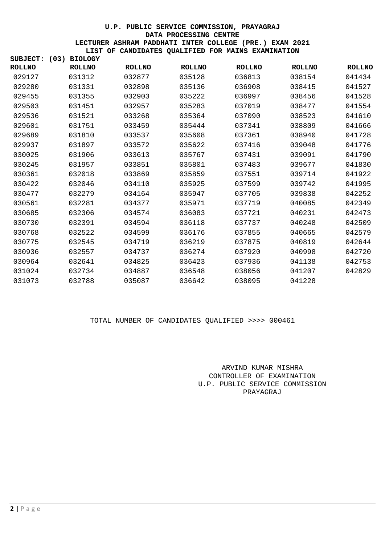| SUBJECT:      | <b>BIOLOGY</b><br>(03) |               |               |               |               |               |
|---------------|------------------------|---------------|---------------|---------------|---------------|---------------|
| <b>ROLLNO</b> | <b>ROLLNO</b>          | <b>ROLLNO</b> | <b>ROLLNO</b> | <b>ROLLNO</b> | <b>ROLLNO</b> | <b>ROLLNO</b> |
| 029127        | 031312                 | 032877        | 035128        | 036813        | 038154        | 041434        |
| 029280        | 031331                 | 032898        | 035136        | 036908        | 038415        | 041527        |
| 029455        | 031355                 | 032903        | 035222        | 036997        | 038456        | 041528        |
| 029503        | 031451                 | 032957        | 035283        | 037019        | 038477        | 041554        |
| 029536        | 031521                 | 033268        | 035364        | 037090        | 038523        | 041610        |
| 029601        | 031751                 | 033459        | 035444        | 037341        | 038809        | 041666        |
| 029689        | 031810                 | 033537        | 035608        | 037361        | 038940        | 041728        |
| 029937        | 031897                 | 033572        | 035622        | 037416        | 039048        | 041776        |
| 030025        | 031906                 | 033613        | 035767        | 037431        | 039091        | 041790        |
| 030245        | 031957                 | 033851        | 035801        | 037483        | 039677        | 041830        |
| 030361        | 032018                 | 033869        | 035859        | 037551        | 039714        | 041922        |
| 030422        | 032046                 | 034110        | 035925        | 037599        | 039742        | 041995        |
| 030477        | 032279                 | 034164        | 035947        | 037705        | 039838        | 042252        |
| 030561        | 032281                 | 034377        | 035971        | 037719        | 040085        | 042349        |
| 030685        | 032306                 | 034574        | 036083        | 037721        | 040231        | 042473        |
| 030730        | 032391                 | 034594        | 036118        | 037737        | 040248        | 042509        |
| 030768        | 032522                 | 034599        | 036176        | 037855        | 040665        | 042579        |
| 030775        | 032545                 | 034719        | 036219        | 037875        | 040819        | 042644        |
| 030936        | 032557                 | 034737        | 036274        | 037920        | 040998        | 042720        |
| 030964        | 032641                 | 034825        | 036423        | 037936        | 041138        | 042753        |
| 031024        | 032734                 | 034887        | 036548        | 038056        | 041207        | 042829        |
| 031073        | 032788                 | 035087        | 036642        | 038095        | 041228        |               |

## TOTAL NUMBER OF CANDIDATES QUALIFIED >>>> 000461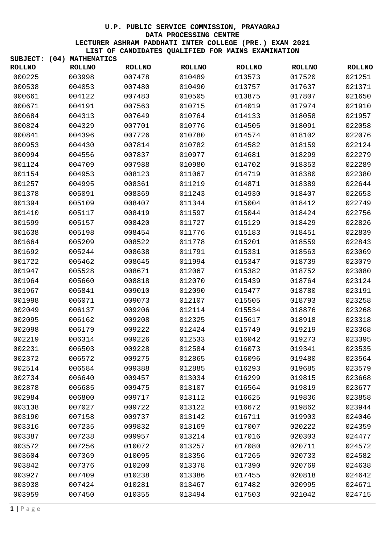| SUBJECT:      | (04) | <b>MATHEMATICS</b> |               |               |               |               |               |
|---------------|------|--------------------|---------------|---------------|---------------|---------------|---------------|
| <b>ROLLNO</b> |      | <b>ROLLNO</b>      | <b>ROLLNO</b> | <b>ROLLNO</b> | <b>ROLLNO</b> | <b>ROLLNO</b> | <b>ROLLNO</b> |
| 000225        |      | 003998             | 007478        | 010489        | 013573        | 017520        | 021251        |
| 000538        |      | 004053             | 007480        | 010490        | 013757        | 017637        | 021371        |
| 000661        |      | 004122             | 007483        | 010505        | 013875        | 017807        | 021650        |
| 000671        |      | 004191             | 007563        | 010715        | 014019        | 017974        | 021910        |
| 000684        |      | 004313             | 007649        | 010764        | 014133        | 018058        | 021957        |
| 000824        |      | 004329             | 007701        | 010776        | 014505        | 018091        | 022058        |
| 000841        |      | 004396             | 007726        | 010780        | 014574        | 018102        | 022076        |
| 000953        |      | 004430             | 007814        | 010782        | 014582        | 018159        | 022124        |
| 000994        |      | 004556             | 007837        | 010977        | 014681        | 018299        | 022279        |
| 001124        |      | 004709             | 007988        | 010980        | 014702        | 018353        | 022289        |
| 001154        |      | 004953             | 008123        | 011067        | 014719        | 018380        | 022380        |
| 001257        |      | 004995             | 008361        | 011219        | 014871        | 018389        | 022644        |
| 001378        |      | 005091             | 008369        | 011243        | 014930        | 018407        | 022653        |
| 001394        |      | 005109             | 008407        | 011344        | 015004        | 018412        | 022749        |
| 001410        |      | 005117             | 008419        | 011597        | 015044        | 018424        | 022756        |
| 001599        |      | 005157             | 008420        | 011727        | 015129        | 018429        | 022826        |
| 001638        |      | 005198             | 008454        | 011776        | 015183        | 018451        | 022839        |
| 001664        |      | 005209             | 008522        | 011778        | 015201        | 018559        | 022843        |
| 001692        |      | 005244             | 008638        | 011791        | 015331        | 018563        | 023069        |
| 001722        |      | 005462             | 008645        | 011994        | 015347        | 018739        | 023079        |
| 001947        |      | 005528             | 008671        | 012067        | 015382        | 018752        | 023080        |
| 001964        |      | 005660             | 008818        | 012070        | 015439        | 018764        | 023124        |
| 001967        |      | 005841             | 009010        | 012090        | 015477        | 018780        | 023191        |
| 001998        |      | 006071             | 009073        | 012107        | 015505        | 018793        | 023258        |
| 002049        |      | 006137             | 009206        | 012114        | 015534        | 018876        | 023268        |
| 002095        |      | 006162             | 009208        | 012325        | 015617        | 018918        | 023318        |
| 002098        |      | 006179             | 009222        | 012424        | 015749        | 019219        | 023368        |
| 002219        |      | 006314             | 009226        | 012533        | 016042        | 019273        | 023395        |
| 002231        |      | 006503             | 009228        | 012584        | 016073        | 019341        | 023535        |
| 002372        |      | 006572             | 009275        | 012865        | 016096        | 019480        | 023564        |
| 002514        |      | 006584             | 009388        | 012885        | 016293        | 019685        | 023579        |
| 002734        |      | 006640             | 009457        | 013034        | 016299        | 019815        | 023668        |
| 002878        |      | 006685             | 009475        | 013107        | 016564        | 019819        | 023677        |
| 002984        |      | 006800             | 009717        | 013112        | 016625        | 019836        | 023858        |
| 003138        |      | 007027             | 009722        | 013122        | 016672        | 019862        | 023944        |
| 003190        |      | 007158             | 009737        | 013142        | 016711        | 019903        | 024046        |
| 003316        |      | 007235             | 009832        | 013169        | 017007        | 020222        | 024359        |
| 003387        |      | 007238             | 009957        | 013214        | 017016        | 020303        | 024477        |
| 003572        |      | 007256             | 010072        | 013257        | 017080        | 020711        | 024572        |
| 003604        |      | 007369             | 010095        | 013356        | 017265        | 020733        | 024582        |
| 003842        |      | 007376             | 010200        | 013378        | 017390        | 020769        | 024638        |
| 003927        |      | 007409             | 010238        | 013386        | 017455        | 020818        | 024642        |
| 003938        |      | 007424             | 010281        | 013467        | 017482        | 020995        | 024671        |
| 003959        |      | 007450             | 010355        | 013494        | 017503        | 021042        | 024715        |
|               |      |                    |               |               |               |               |               |